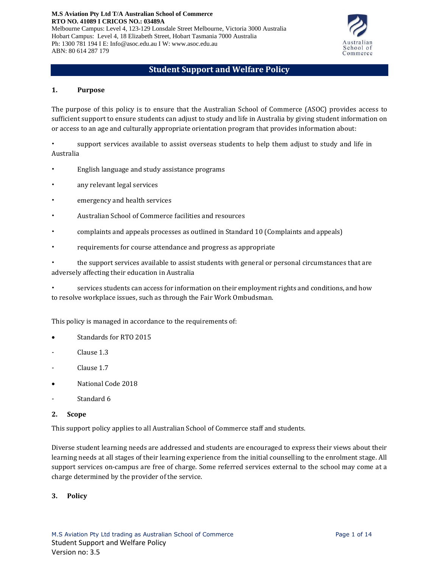**M.S Aviation Pty Ltd T/A Australian School of Commerce RTO NO. 41089 I CRICOS NO.: 03489A** Melbourne Campus: Level 4, 123-129 Lonsdale Street Melbourne, Victoria 3000 Australia Hobart Campus: Level 4, 18 Elizabeth Street, Hobart Tasmania 7000 Australia Ph: 1300 781 194 I E: Info@asoc.edu.au I W: www.asoc.edu.au ABN: 80 614 287 179



# **Student Support and Welfare Policy**

#### **1. Purpose**

The purpose of this policy is to ensure that the Australian School of Commerce (ASOC) provides access to sufficient support to ensure students can adjust to study and life in Australia by giving student information on or access to an age and culturally appropriate orientation program that provides information about:

• support services available to assist overseas students to help them adjust to study and life in Australia

- English language and study assistance programs
- any relevant legal services
- emergency and health services
- Australian School of Commerce facilities and resources
- complaints and appeals processes as outlined in Standard 10 (Complaints and appeals)
- requirements for course attendance and progress as appropriate

• the support services available to assist students with general or personal circumstances that are adversely affecting their education in Australia

• services students can access for information on their employment rights and conditions, and how to resolve workplace issues, such as through the Fair Work Ombudsman.

This policy is managed in accordance to the requirements of:

- Standards for RTO 2015
- Clause 1.3
- Clause 1.7
- National Code 2018
- Standard 6
- **2. Scope**

This support policy applies to all Australian School of Commerce staff and students.

Diverse student learning needs are addressed and students are encouraged to express their views about their learning needs at all stages of their learning experience from the initial counselling to the enrolment stage. All support services on-campus are free of charge. Some referred services external to the school may come at a charge determined by the provider of the service.

## **3. Policy**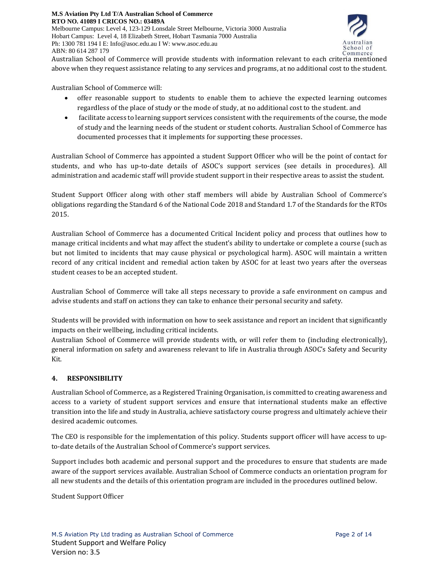

Australian School of Commerce will provide students with information relevant to each criteria mentioned above when they request assistance relating to any services and programs, at no additional cost to the student.

Australian School of Commerce will:

- offer reasonable support to students to enable them to achieve the expected learning outcomes regardless of the place of study or the mode of study, at no additional cost to the student. and
- facilitate access to learning support services consistent with the requirements of the course, the mode of study and the learning needs of the student or student cohorts. Australian School of Commerce has documented processes that it implements for supporting these processes.

Australian School of Commerce has appointed a student Support Officer who will be the point of contact for students, and who has up-to-date details of ASOC's support services (see details in procedures). All administration and academic staff will provide student support in their respective areas to assist the student.

Student Support Officer along with other staff members will abide by Australian School of Commerce's obligations regarding the Standard 6 of the National Code 2018 and Standard 1.7 of the Standards for the RTOs 2015.

Australian School of Commerce has a documented Critical Incident policy and process that outlines how to manage critical incidents and what may affect the student's ability to undertake or complete a course (such as but not limited to incidents that may cause physical or psychological harm). ASOC will maintain a written record of any critical incident and remedial action taken by ASOC for at least two years after the overseas student ceases to be an accepted student.

Australian School of Commerce will take all steps necessary to provide a safe environment on campus and advise students and staff on actions they can take to enhance their personal security and safety.

Students will be provided with information on how to seek assistance and report an incident that significantly impacts on their wellbeing, including critical incidents.

Australian School of Commerce will provide students with, or will refer them to (including electronically), general information on safety and awareness relevant to life in Australia through ASOC's Safety and Security Kit.

# **4. RESPONSIBILITY**

Australian School of Commerce, as a Registered Training Organisation, is committed to creating awareness and access to a variety of student support services and ensure that international students make an effective transition into the life and study in Australia, achieve satisfactory course progress and ultimately achieve their desired academic outcomes.

The CEO is responsible for the implementation of this policy. Students support officer will have access to upto-date details of the Australian School of Commerce's support services.

Support includes both academic and personal support and the procedures to ensure that students are made aware of the support services available. Australian School of Commerce conducts an orientation program for all new students and the details of this orientation program are included in the procedures outlined below.

Student Support Officer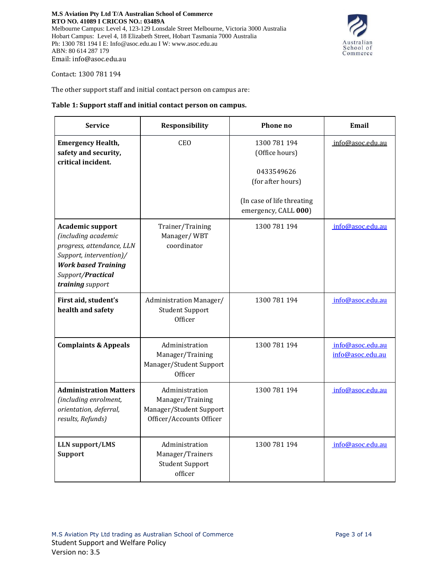

Contact: 1300 781 194

The other support staff and initial contact person on campus are:

#### **Table 1: Support staff and initial contact person on campus.**

| <b>Service</b>                                                                                                                                                                | Responsibility                                                                            | Phone no                                                                                                                | Email                                |
|-------------------------------------------------------------------------------------------------------------------------------------------------------------------------------|-------------------------------------------------------------------------------------------|-------------------------------------------------------------------------------------------------------------------------|--------------------------------------|
| <b>Emergency Health,</b><br>safety and security,<br>critical incident.                                                                                                        | <b>CEO</b>                                                                                | 1300 781 194<br>(Office hours)<br>0433549626<br>(for after hours)<br>(In case of life threating<br>emergency, CALL 000) | info@asoc.edu.au                     |
| <b>Academic support</b><br>(including academic<br>progress, attendance, LLN<br>Support, intervention)/<br><b>Work based Training</b><br>Support/Practical<br>training support | Trainer/Training<br>Manager/WBT<br>coordinator                                            | 1300 781 194                                                                                                            | info@asoc.edu.au                     |
| First aid, student's<br>health and safety                                                                                                                                     | Administration Manager/<br><b>Student Support</b><br>Officer                              | 1300 781 194                                                                                                            | info@asoc.edu.au                     |
| <b>Complaints &amp; Appeals</b>                                                                                                                                               | Administration<br>Manager/Training<br>Manager/Student Support<br>Officer                  | 1300 781 194                                                                                                            | info@asoc.edu.au<br>info@asoc.edu.au |
| <b>Administration Matters</b><br>(including enrolment,<br>orientation, deferral,<br>results, Refunds)                                                                         | Administration<br>Manager/Training<br>Manager/Student Support<br>Officer/Accounts Officer | 1300 781 194                                                                                                            | info@asoc.edu.au                     |
| <b>LLN</b> support/LMS<br><b>Support</b>                                                                                                                                      | Administration<br>Manager/Trainers<br><b>Student Support</b><br>officer                   | 1300 781 194                                                                                                            | info@asoc.edu.au                     |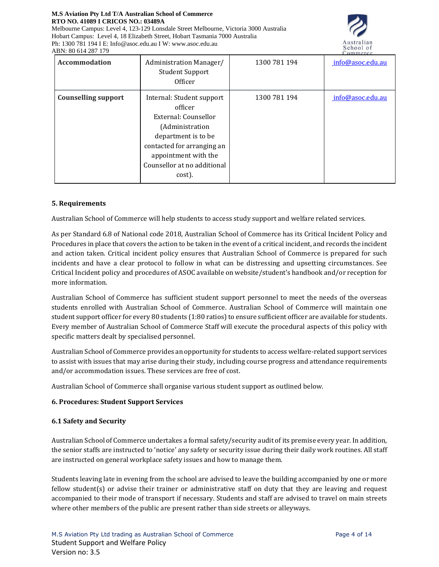#### **M.S Aviation Pty Ltd T/A Australian School of Commerce RTO NO. 41089 I CRICOS NO.: 03489A**

Melbourne Campus: Level 4, 123-129 Lonsdale Street Melbourne, Victoria 3000 Australia Hobart Campus: Level 4, 18 Elizabeth Street, Hobart Tasmania 7000 Australia Ph: 1300 781 194 I E: Info@asoc.edu.au I W: www.asoc.edu.au ABN: 80 614 287 179



| <b>Accommodation</b>       | Administration Manager/<br><b>Student Support</b><br>Officer                                                                                                                                          | 1300 781 194 | <u> UMBULL</u><br>info@asoc.edu.au |
|----------------------------|-------------------------------------------------------------------------------------------------------------------------------------------------------------------------------------------------------|--------------|------------------------------------|
| <b>Counselling support</b> | Internal: Student support<br>officer<br>External: Counsellor<br>(Administration<br>department is to be<br>contacted for arranging an<br>appointment with the<br>Counsellor at no additional<br>cost). | 1300 781 194 | info@asoc.edu.au                   |

## **5. Requirements**

Australian School of Commerce will help students to access study support and welfare related services.

As per Standard 6.8 of National code 2018, Australian School of Commerce has its Critical Incident Policy and Procedures in place that covers the action to be taken in the event of a critical incident, and records the incident and action taken. Critical incident policy ensures that Australian School of Commerce is prepared for such incidents and have a clear protocol to follow in what can be distressing and upsetting circumstances. See Critical Incident policy and procedures of ASOC available on website/student's handbook and/or reception for more information.

Australian School of Commerce has sufficient student support personnel to meet the needs of the overseas students enrolled with Australian School of Commerce. Australian School of Commerce will maintain one student support officer for every 80 students (1:80 ratios) to ensure sufficient officer are available for students. Every member of Australian School of Commerce Staff will execute the procedural aspects of this policy with specific matters dealt by specialised personnel.

Australian School of Commerce provides an opportunity for students to access welfare-related support services to assist with issues that may arise during their study, including course progress and attendance requirements and/or accommodation issues. These services are free of cost.

Australian School of Commerce shall organise various student support as outlined below.

## **6. Procedures: Student Support Services**

## **6.1 Safety and Security**

Australian School of Commerce undertakes a formal safety/security audit of its premise every year. In addition, the senior staffs are instructed to 'notice' any safety or security issue during their daily work routines. All staff are instructed on general workplace safety issues and how to manage them.

Students leaving late in evening from the school are advised to leave the building accompanied by one or more fellow student(s) or advise their trainer or administrative staff on duty that they are leaving and request accompanied to their mode of transport if necessary. Students and staff are advised to travel on main streets where other members of the public are present rather than side streets or alleyways.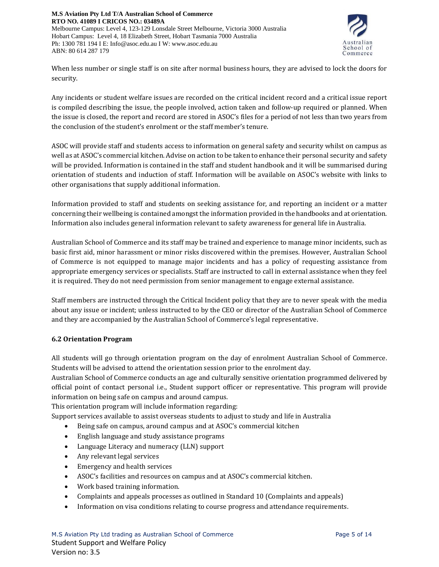

When less number or single staff is on site after normal business hours, they are advised to lock the doors for security.

Any incidents or student welfare issues are recorded on the critical incident record and a critical issue report is compiled describing the issue, the people involved, action taken and follow-up required or planned. When the issue is closed, the report and record are stored in ASOC's files for a period of not less than two years from the conclusion of the student's enrolment or the staff member's tenure.

ASOC will provide staff and students access to information on general safety and security whilst on campus as well as at ASOC's commercial kitchen. Advise on action to be taken to enhance their personal security and safety will be provided. Information is contained in the staff and student handbook and it will be summarised during orientation of students and induction of staff. Information will be available on ASOC's website with links to other organisations that supply additional information.

Information provided to staff and students on seeking assistance for, and reporting an incident or a matter concerning their wellbeing is contained amongst the information provided in the handbooks and at orientation. Information also includes general information relevant to safety awareness for general life in Australia.

Australian School of Commerce and its staff may be trained and experience to manage minor incidents, such as basic first aid, minor harassment or minor risks discovered within the premises. However, Australian School of Commerce is not equipped to manage major incidents and has a policy of requesting assistance from appropriate emergency services or specialists. Staff are instructed to call in external assistance when they feel it is required. They do not need permission from senior management to engage external assistance.

Staff members are instructed through the Critical Incident policy that they are to never speak with the media about any issue or incident; unless instructed to by the CEO or director of the Australian School of Commerce and they are accompanied by the Australian School of Commerce's legal representative.

# **6.2 Orientation Program**

All students will go through orientation program on the day of enrolment Australian School of Commerce. Students will be advised to attend the orientation session prior to the enrolment day.

Australian School of Commerce conducts an age and culturally sensitive orientation programmed delivered by official point of contact personal i.e., Student support officer or representative. This program will provide information on being safe on campus and around campus.

This orientation program will include information regarding:

Support services available to assist overseas students to adjust to study and life in Australia

- Being safe on campus, around campus and at ASOC's commercial kitchen
- English language and study assistance programs
- Language Literacy and numeracy (LLN) support
- Any relevant legal services
- Emergency and health services
- ASOC's facilities and resources on campus and at ASOC's commercial kitchen.
- Work based training information.
- Complaints and appeals processes as outlined in Standard 10 (Complaints and appeals)
- Information on visa conditions relating to course progress and attendance requirements.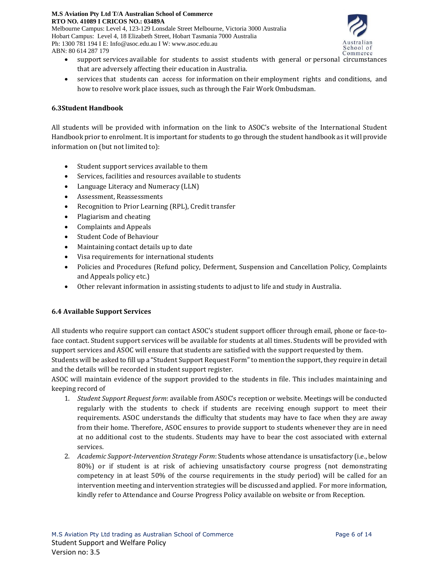Ph: 1300 781 194 I E: Info@asoc.edu.au I W: www.asoc.edu.au



- support services available for students to assist students with general or personal circumstances that are adversely affecting their education in Australia.
- services that students can access for information on their employment rights and conditions, and how to resolve work place issues, such as through the Fair Work Ombudsman.

# **6.3Student Handbook**

ABN: 80 614 287 179

All students will be provided with information on the link to ASOC's website of the International Student Handbook prior to enrolment. It is important for students to go through the student handbook as it will provide information on (but not limited to):

- Student support services available to them
- Services, facilities and resources available to students
- Language Literacy and Numeracy (LLN)
- Assessment, Reassessments
- Recognition to Prior Learning (RPL), Credit transfer
- Plagiarism and cheating
- Complaints and Appeals
- Student Code of Behaviour
- Maintaining contact details up to date
- Visa requirements for international students
- Policies and Procedures (Refund policy, Deferment, Suspension and Cancellation Policy, Complaints and Appeals policy etc.)
- Other relevant information in assisting students to adjust to life and study in Australia.

# **6.4 Available Support Services**

All students who require support can contact ASOC's student support officer through email, phone or face-toface contact. Student support services will be available for students at all times. Students will be provided with support services and ASOC will ensure that students are satisfied with the support requested by them.

Students will be asked to fill up a "Student Support Request Form"to mention the support, they require in detail and the details will be recorded in student support register.

ASOC will maintain evidence of the support provided to the students in file. This includes maintaining and keeping record of

- 1. *Student Support Request form*: available from ASOC's reception or website. Meetings will be conducted regularly with the students to check if students are receiving enough support to meet their requirements. ASOC understands the difficulty that students may have to face when they are away from their home. Therefore, ASOC ensures to provide support to students whenever they are in need at no additional cost to the students. Students may have to bear the cost associated with external services.
- 2. *Academic Support-Intervention Strategy Form*: Students whose attendance is unsatisfactory (i.e., below 80%) or if student is at risk of achieving unsatisfactory course progress (not demonstrating competency in at least 50% of the course requirements in the study period) will be called for an intervention meeting and intervention strategies will be discussed and applied. For more information, kindly refer to Attendance and Course Progress Policy available on website or from Reception.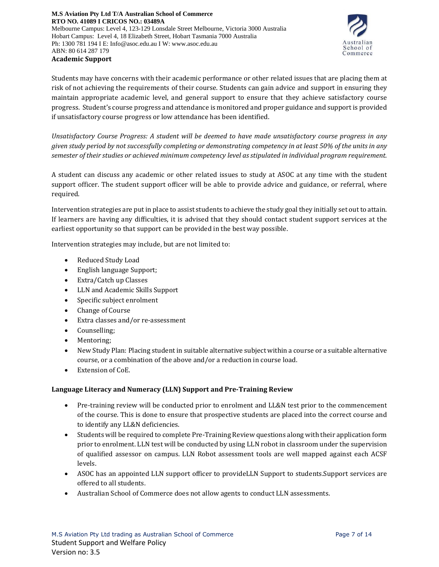

Students may have concerns with their academic performance or other related issues that are placing them at risk of not achieving the requirements of their course. Students can gain advice and support in ensuring they maintain appropriate academic level, and general support to ensure that they achieve satisfactory course progress. Student's course progress and attendance is monitored and proper guidance and support is provided if unsatisfactory course progress or low attendance has been identified.

*Unsatisfactory Course Progress: A student will be deemed to have made unsatisfactory course progress in any* given study period by not successfully completing or demonstrating competency in at least 50% of the units in any *semester of their studies or achieved minimum competency level as stipulated in individual program requirement.* 

A student can discuss any academic or other related issues to study at ASOC at any time with the student support officer. The student support officer will be able to provide advice and guidance, or referral, where required.

Intervention strategies are put in place to assist students to achieve the study goal they initially set out to attain. If learners are having any difficulties, it is advised that they should contact student support services at the earliest opportunity so that support can be provided in the best way possible.

Intervention strategies may include, but are not limited to:

- Reduced Study Load
- English language Support;
- Extra/Catch up Classes
- LLN and Academic Skills Support
- Specific subject enrolment
- Change of Course
- Extra classes and/or re-assessment
- Counselling;
- Mentoring;
- New Study Plan: Placing student in suitable alternative subject within a course or a suitable alternative course, or a combination of the above and/or a reduction in course load.
- Extension of CoE.

# **Language Literacy and Numeracy (LLN) Support and Pre-Training Review**

- Pre-training review will be conducted prior to enrolment and LL&N test prior to the commencement of the course. This is done to ensure that prospective students are placed into the correct course and to identify any LL&N deficiencies.
- Students will be required to complete Pre-Training Review questions along with their application form prior to enrolment. LLN test will be conducted by using LLN robot in classroom under the supervision of qualified assessor on campus. LLN Robot assessment tools are well mapped against each ACSF levels.
- ASOC has an appointed LLN support officer to provideLLN Support to students. Support services are offered to all students.
- Australian School of Commerce does not allow agents to conduct LLN assessments.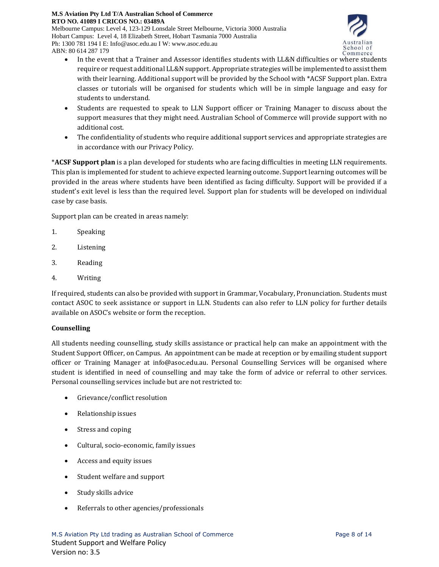Melbourne Campus: Level 4, 123-129 Lonsdale Street Melbourne, Victoria 3000 Australia Hobart Campus: Level 4, 18 Elizabeth Street, Hobart Tasmania 7000 Australia Ph: 1300 781 194 I E: Info@asoc.edu.au I W: www.asoc.edu.au ABN: 80 614 287 179



- In the event that a Trainer and Assessor identifies students with LL&N difficulties or where students require or request additional LL&N support. Appropriate strategies will be implemented to assist them with their learning. Additional support will be provided by the School with \*ACSF Support plan. Extra classes or tutorials will be organised for students which will be in simple language and easy for students to understand.
- Students are requested to speak to LLN Support officer or Training Manager to discuss about the support measures that they might need. Australian School of Commerce will provide support with no additional cost.
- The confidentiality of students who require additional support services and appropriate strategies are in accordance with our Privacy Policy.

\***ACSF Support plan** is a plan developed for students who are facing difficulties in meeting LLN requirements. This plan is implemented for student to achieve expected learning outcome. Support learning outcomes will be provided in the areas where students have been identified as facing difficulty. Support will be provided if a student's exit level is less than the required level. Support plan for students will be developed on individual case by case basis.

Support plan can be created in areas namely:

- 1. Speaking
- 2. Listening
- 3. Reading
- 4. Writing

If required, students can also be provided with support in Grammar, Vocabulary, Pronunciation. Students must contact ASOC to seek assistance or support in LLN. Students can also refer to LLN policy for further details available on ASOC's website or form the reception.

## **Counselling**

All students needing counselling, study skills assistance or practical help can make an appointment with the Student Support Officer, on Campus. An appointment can be made at reception or by emailing student support officer or Training Manager at info@asoc.edu.au. Personal Counselling Services will be organised where student is identified in need of counselling and may take the form of advice or referral to other services. Personal counselling services include but are not restricted to:

- Grievance/conflict resolution
- Relationship issues
- Stress and coping
- Cultural, socio-economic, family issues
- Access and equity issues
- Student welfare and support
- Study skills advice
- Referrals to other agencies/professionals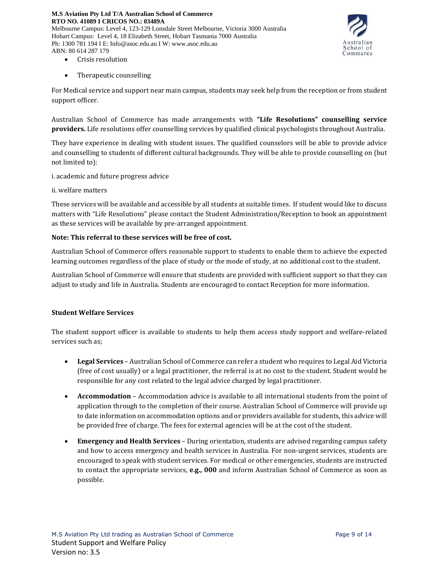

- Crisis resolution
- Therapeutic counselling

For Medical service and support near main campus, students may seek help from the reception or from student support officer.

Australian School of Commerce has made arrangements with **"Life Resolutions" counselling service providers.** Life resolutions offer counselling services by qualified clinical psychologists throughout Australia.

They have experience in dealing with student issues. The qualified counselors will be able to provide advice and counselling to students of different cultural backgrounds. They will be able to provide counselling on (but not limited to):

i. academic and future progress advice

ii. welfare matters

These services will be available and accessible by all students at suitable times. If student would like to discuss matters with "Life Resolutions" please contact the Student Administration/Reception to book an appointment as these services will be available by pre-arranged appointment.

## **Note: This referral to these services will be free of cost.**

Australian School of Commerce offers reasonable support to students to enable them to achieve the expected learning outcomes regardless of the place of study or the mode of study, at no additional cost to the student.

Australian School of Commerce will ensure that students are provided with sufficient support so that they can adjust to study and life in Australia. Students are encouraged to contact Reception for more information.

## **Student Welfare Services**

The student support officer is available to students to help them access study support and welfare-related services such as;

- **Legal Services** Australian School of Commerce can refer a student who requires to Legal Aid Victoria (free of cost usually) or a legal practitioner, the referral is at no cost to the student. Student would be responsible for any cost related to the legal advice charged by legal practitioner.
- **Accommodation** Accommodation advice is available to all international students from the point of application through to the completion of their course. Australian School of Commerce will provide up to date information on accommodation options and or providers available for students, this advice will be provided free of charge. The fees for external agencies will be at the cost of the student.
- **Emergency and Health Services** During orientation, students are advised regarding campus safety and how to access emergency and health services in Australia. For non-urgent services, students are encouraged to speak with student services. For medical or other emergencies, students are instructed to contact the appropriate services, **e.g., 000** and inform Australian School of Commerce as soon as possible.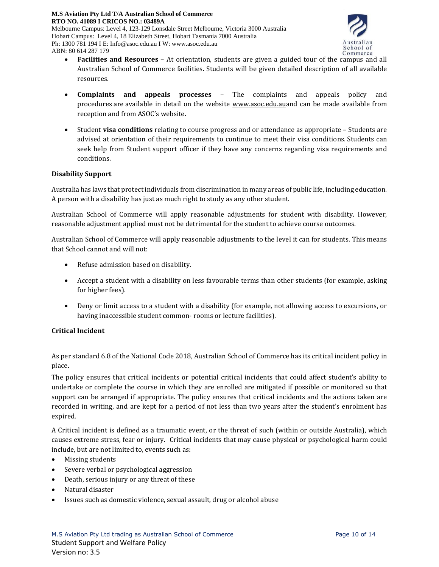

- **Facilities and Resources** At orientation, students are given a guided tour of the campus and all Australian School of Commerce facilities. Students will be given detailed description of all available resources.
- **Complaints and appeals processes** The complaints and appeals policy and procedures are available in detail on the website [www.asoc.edu.aua](http://www.asoc.edu.au/)nd can be made available from reception and from ASOC's website.
- Student **visa conditions** relating to course progress and or attendance as appropriate Students are advised at orientation of their requirements to continue to meet their visa conditions. Students can seek help from Student support officer if they have any concerns regarding visa requirements and conditions.

## **Disability Support**

ABN: 80 614 287 179

Australia has laws that protect individuals from discrimination in many areas of public life, including education. A person with a disability has just as much right to study as any other student.

Australian School of Commerce will apply reasonable adjustments for student with disability. However, reasonable adjustment applied must not be detrimental for the student to achieve course outcomes.

Australian School of Commerce will apply reasonable adjustments to the level it can for students. This means that School cannot and will not:

- Refuse admission based on disability.
- Accept a student with a disability on less favourable terms than other students (for example, asking for higher fees).
- Deny or limit access to a student with a disability (for example, not allowing access to excursions, or having inaccessible student common- rooms or lecture facilities).

## **Critical Incident**

As per standard 6.8 of the National Code 2018, Australian School of Commerce has its critical incident policy in place.

The policy ensures that critical incidents or potential critical incidents that could affect student's ability to undertake or complete the course in which they are enrolled are mitigated if possible or monitored so that support can be arranged if appropriate. The policy ensures that critical incidents and the actions taken are recorded in writing, and are kept for a period of not less than two years after the student's enrolment has expired.

A Critical incident is defined as a traumatic event, or the threat of such (within or outside Australia), which causes extreme stress, fear or injury. Critical incidents that may cause physical or psychological harm could include, but are not limited to, events such as:

- Missing students
- Severe verbal or psychological aggression
- Death, serious injury or any threat of these
- Natural disaster
- Issues such as domestic violence, sexual assault, drug or alcohol abuse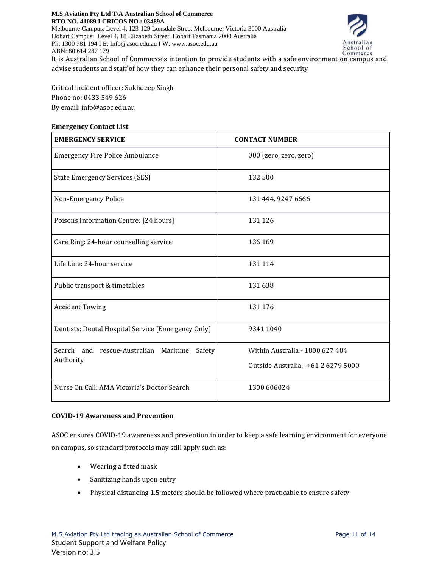

It is Australian School of Commerce's intention to provide students with a safe environment on campus and advise students and staff of how they can enhance their personal safety and security

Critical incident officer: Sukhdeep Singh Phone no: 0433 549 626 By email: [info@asoc.edu.au](mailto:info@asoc.edu.au)

## **Emergency Contact List**

| <b>EMERGENCY SERVICE</b>                           | <b>CONTACT NUMBER</b>               |  |
|----------------------------------------------------|-------------------------------------|--|
| <b>Emergency Fire Police Ambulance</b>             | 000 (zero, zero, zero)              |  |
| <b>State Emergency Services (SES)</b>              | 132 500                             |  |
| Non-Emergency Police                               | 131 444, 9247 6666                  |  |
| Poisons Information Centre: [24 hours]             | 131 126                             |  |
| Care Ring: 24-hour counselling service             | 136 169                             |  |
| Life Line: 24-hour service                         | 131 114                             |  |
| Public transport & timetables                      | 131 638                             |  |
| <b>Accident Towing</b>                             | 131 176                             |  |
| Dentists: Dental Hospital Service [Emergency Only] | 9341 1040                           |  |
| Search and rescue-Australian Maritime<br>Safety    | Within Australia - 1800 627 484     |  |
| Authority                                          | Outside Australia - +61 2 6279 5000 |  |
| Nurse On Call: AMA Victoria's Doctor Search        | 1300 606024                         |  |

# **COVID-19 Awareness and Prevention**

ASOC ensures COVID-19 awareness and prevention in order to keep a safe learning environment for everyone on campus, so standard protocols may still apply such as:

- Wearing a fitted mask
- Sanitizing hands upon entry
- Physical distancing 1.5 meters should be followed where practicable to ensure safety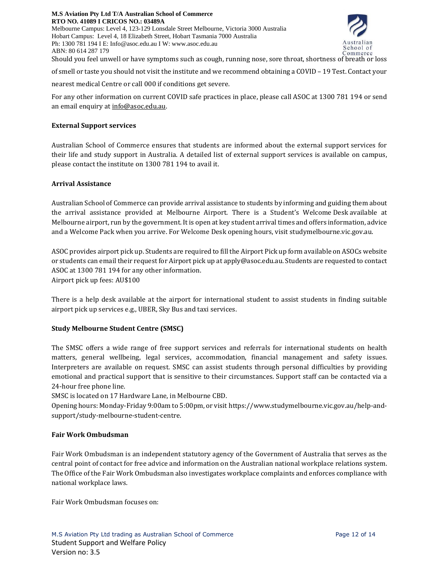**M.S Aviation Pty Ltd T/A Australian School of Commerce RTO NO. 41089 I CRICOS NO.: 03489A** Melbourne Campus: Level 4, 123-129 Lonsdale Street Melbourne, Victoria 3000 Australia Hobart Campus: Level 4, 18 Elizabeth Street, Hobart Tasmania 7000 Australia Ph: 1300 781 194 I E: Info@asoc.edu.au I W: www.asoc.edu.au ABN: 80 614 287 179



Should you feel unwell or have symptoms such as cough, running nose, sore throat, shortness of breath or loss

of smell or taste you should not visit the institute and we recommend obtaining a COVID – 19 Test. Contact your

nearest medical Centre or call 000 if conditions get severe.

For any other information on current COVID safe practices in place, please call ASOC at 1300 781 194 or send an email enquiry at [info@asoc.edu.au.](mailto:info@asoc.edu.au)

## **External Support services**

Australian School of Commerce ensures that students are informed about the external support services for their life and study support in Australia. A detailed list of external support services is available on campus, please contact the institute on 1300 781 194 to avail it.

#### **Arrival Assistance**

Australian School of Commerce can provide arrival assistance to students by informing and guiding them about the arrival assistance provided at Melbourne Airport. There is a Student's Welcome Desk available at Melbourne airport, run by the government. It is open at key student arrival times and offers information, advice and a Welcome Pack when you arrive. For Welcome Desk opening hours, visit studymelbourne.vic.gov.au.

ASOC provides airport pick up. Students are required to fill the Airport Pick up form available on ASOCs website or students can email their request for Airport pick up at apply@asoc.edu.au. Students are requested to contact ASOC at 1300 781 194 for any other information. Airport pick up fees: AU\$100

There is a help desk available at the airport for international student to assist students in finding suitable airport pick up services e.g., UBER, Sky Bus and taxi services.

## **Study Melbourne Student Centre (SMSC)**

The SMSC offers a wide range of free support services and referrals for international students on health matters, general wellbeing, legal services, accommodation, financial management and safety issues. Interpreters are available on request. SMSC can assist students through personal difficulties by providing emotional and practical support that is sensitive to their circumstances. Support staff can be contacted via a 24-hour free phone line.

SMSC is located on 17 Hardware Lane, in Melbourne CBD.

Opening hours: Monday-Friday 9:00am to 5:00pm, or visit [https://www.studymelbourne.vic.gov.au/help-and](https://www.studymelbourne.vic.gov.au/help-and-support/study-melbourne-student-centre)[support/study-melbourne-student-centre.](https://www.studymelbourne.vic.gov.au/help-and-support/study-melbourne-student-centre)

#### **Fair Work Ombudsman**

Fair Work Ombudsman is an independent statutory agency of the Government of Australia that serves as the central point of contact for free advice and information on the Australian national workplace relations system. The Office of the Fair Work Ombudsman also investigates workplace complaints and enforces compliance with national workplace laws.

Fair Work Ombudsman focuses on: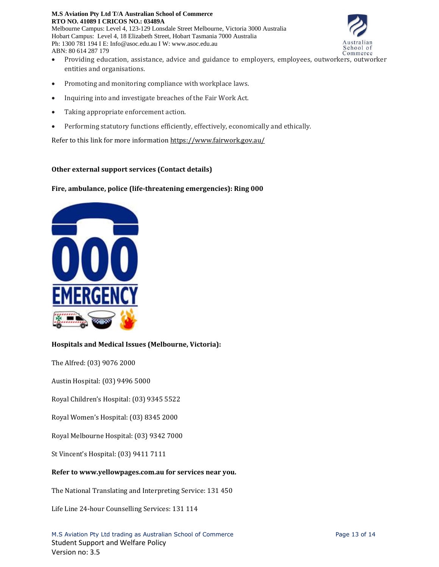#### **M.S Aviation Pty Ltd T/A Australian School of Commerce RTO NO. 41089 I CRICOS NO.: 03489A** Melbourne Campus: Level 4, 123-129 Lonsdale Street Melbourne, Victoria 3000 Australia Hobart Campus: Level 4, 18 Elizabeth Street, Hobart Tasmania 7000 Australia Ph: 1300 781 194 I E: Info@asoc.edu.au I W: www.asoc.edu.au ABN: 80 614 287 179



- Providing education, assistance, advice and guidance to employers, employees, outworkers, outworker entities and organisations.
- Promoting and monitoring compliance with workplace laws.
- Inquiring into and investigate breaches of the Fair Work Act.
- Taking appropriate enforcement action.
- Performing statutory functions efficiently, effectively, economically and ethically.

Refer to this link for more information <https://www.fairwork.gov.au/>

#### **Other external support services (Contact details)**

#### **Fire, ambulance, police (life-threatening emergencies): Ring 000**



## **Hospitals and Medical Issues (Melbourne, Victoria):**

The Alfred: (03) 9076 2000

Austin Hospital: (03) 9496 5000

Royal Children's Hospital: (03) 9345 5522

Royal Women's Hospital: (03) 8345 2000

Royal Melbourne Hospital: (03) 9342 7000

St Vincent's Hospital: (03) 9411 7111

#### **Refer to www.yellowpages.com.au for services near you.**

The National Translating and Interpreting Service: 131 450

Life Line 24-hour Counselling Services: 131 114